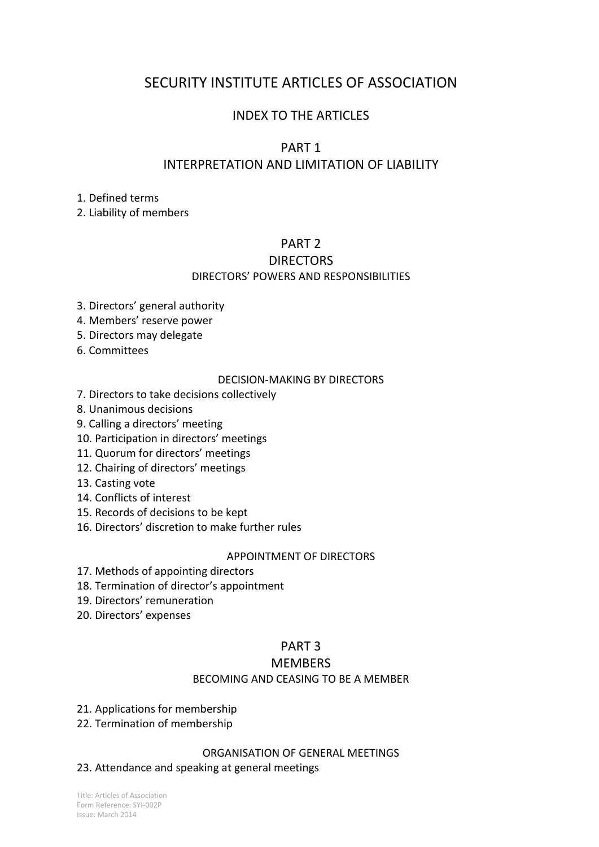# SECURITY INSTITUTE ARTICLES OF ASSOCIATION

# INDEX TO THE ARTICLES

#### PART 1

### INTERPRETATION AND LIMITATION OF LIABILITY

#### 1. Defined terms

2. Liability of members

#### PART 2

#### DIRECTORS

### DIRECTORS' POWERS AND RESPONSIBILITIES

- 3. Directors' general authority
- 4. Members' reserve power
- 5. Directors may delegate
- 6. Committees

#### DECISION-MAKING BY DIRECTORS

- 7. Directors to take decisions collectively
- 8. Unanimous decisions
- 9. Calling a directors' meeting
- 10. Participation in directors' meetings
- 11. Quorum for directors' meetings
- 12. Chairing of directors' meetings
- 13. Casting vote
- 14. Conflicts of interest
- 15. Records of decisions to be kept
- 16. Directors' discretion to make further rules

#### APPOINTMENT OF DIRECTORS

- 17. Methods of appointing directors
- 18. Termination of director's appointment
- 19. Directors' remuneration
- 20. Directors' expenses

### PART 3

#### MEMBERS

#### BECOMING AND CEASING TO BE A MEMBER

#### 21. Applications for membership

22. Termination of membership

#### ORGANISATION OF GENERAL MEETINGS

#### 23. Attendance and speaking at general meetings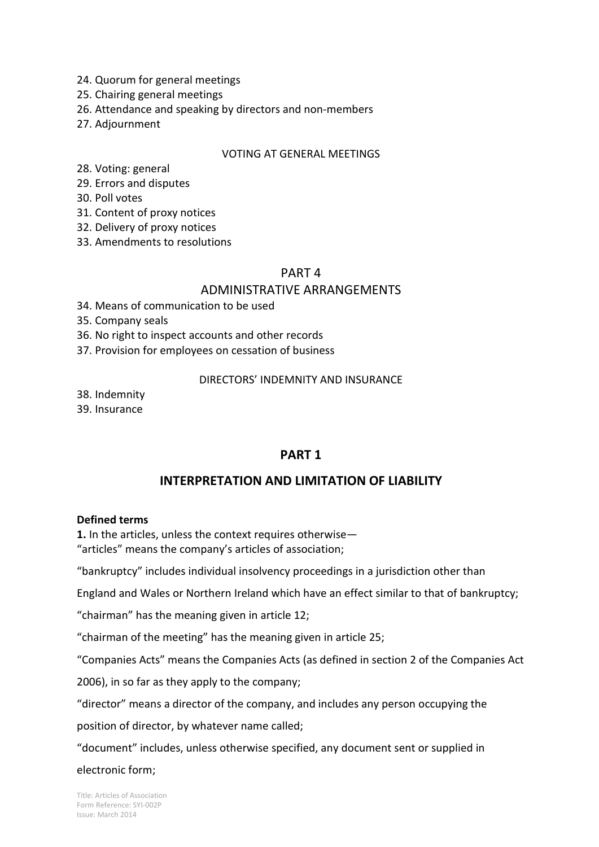- 24. Quorum for general meetings
- 25. Chairing general meetings
- 26. Attendance and speaking by directors and non-members
- 27. Adjournment

#### VOTING AT GENERAL MEETINGS

- 28. Voting: general
- 29. Errors and disputes
- 30. Poll votes
- 31. Content of proxy notices
- 32. Delivery of proxy notices
- 33. Amendments to resolutions

### PART 4

#### ADMINISTRATIVE ARRANGEMENTS

34. Means of communication to be used

35. Company seals

- 36. No right to inspect accounts and other records
- 37. Provision for employees on cessation of business

#### DIRECTORS' INDEMNITY AND INSURANCE

- 38. Indemnity
- 39. Insurance

# **PART 1**

# **INTERPRETATION AND LIMITATION OF LIABILITY**

#### **Defined terms**

**1.** In the articles, unless the context requires otherwise—

"articles" means the company's articles of association;

"bankruptcy" includes individual insolvency proceedings in a jurisdiction other than

England and Wales or Northern Ireland which have an effect similar to that of bankruptcy;

"chairman" has the meaning given in article 12;

"chairman of the meeting" has the meaning given in article 25;

"Companies Acts" means the Companies Acts (as defined in section 2 of the Companies Act

2006), in so far as they apply to the company;

"director" means a director of the company, and includes any person occupying the

position of director, by whatever name called;

"document" includes, unless otherwise specified, any document sent or supplied in

electronic form;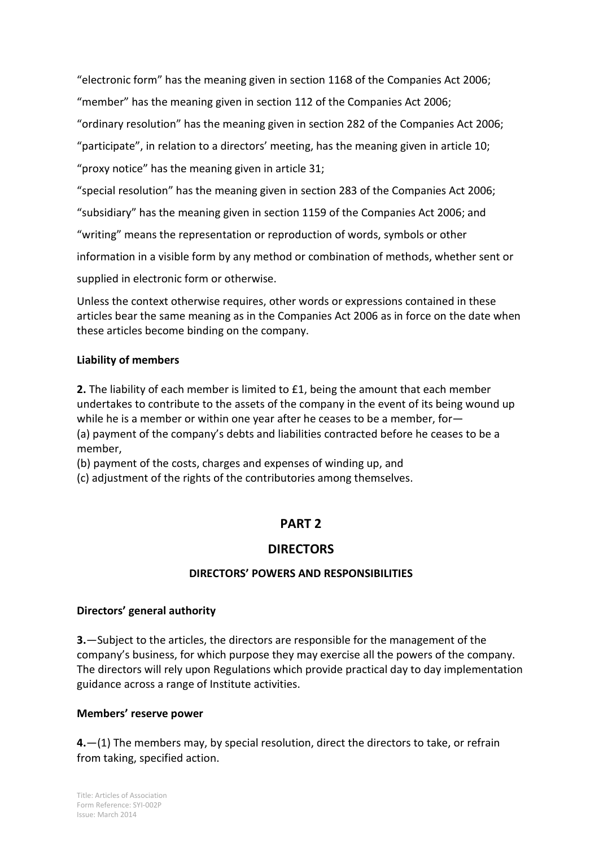"electronic form" has the meaning given in section 1168 of the Companies Act 2006;

"member" has the meaning given in section 112 of the Companies Act 2006;

"ordinary resolution" has the meaning given in section 282 of the Companies Act 2006;

"participate", in relation to a directors' meeting, has the meaning given in article 10;

"proxy notice" has the meaning given in article 31;

"special resolution" has the meaning given in section 283 of the Companies Act 2006;

"subsidiary" has the meaning given in section 1159 of the Companies Act 2006; and

"writing" means the representation or reproduction of words, symbols or other

information in a visible form by any method or combination of methods, whether sent or

supplied in electronic form or otherwise.

Unless the context otherwise requires, other words or expressions contained in these articles bear the same meaning as in the Companies Act 2006 as in force on the date when these articles become binding on the company.

### **Liability of members**

**2.** The liability of each member is limited to £1, being the amount that each member undertakes to contribute to the assets of the company in the event of its being wound up while he is a member or within one year after he ceases to be a member, for-(a) payment of the company's debts and liabilities contracted before he ceases to be a member,

(b) payment of the costs, charges and expenses of winding up, and

(c) adjustment of the rights of the contributories among themselves.

# **PART 2**

# **DIRECTORS**

### **DIRECTORS' POWERS AND RESPONSIBILITIES**

### **Directors' general authority**

**3.**—Subject to the articles, the directors are responsible for the management of the company's business, for which purpose they may exercise all the powers of the company. The directors will rely upon Regulations which provide practical day to day implementation guidance across a range of Institute activities.

### **Members' reserve power**

**4.**—(1) The members may, by special resolution, direct the directors to take, or refrain from taking, specified action.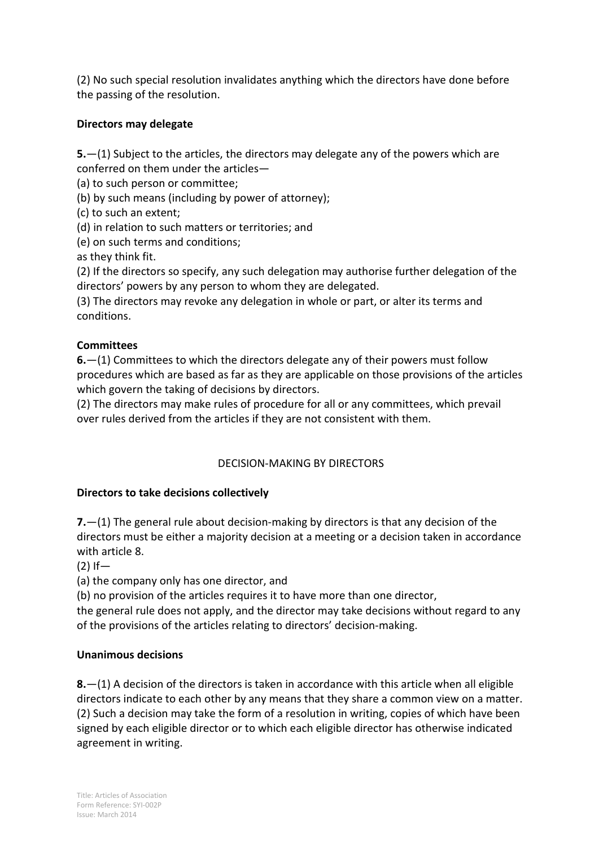(2) No such special resolution invalidates anything which the directors have done before the passing of the resolution.

### **Directors may delegate**

**5.**—(1) Subject to the articles, the directors may delegate any of the powers which are conferred on them under the articles—

(a) to such person or committee;

(b) by such means (including by power of attorney);

(c) to such an extent;

(d) in relation to such matters or territories; and

(e) on such terms and conditions;

as they think fit.

(2) If the directors so specify, any such delegation may authorise further delegation of the directors' powers by any person to whom they are delegated.

(3) The directors may revoke any delegation in whole or part, or alter its terms and conditions.

### **Committees**

**6.**—(1) Committees to which the directors delegate any of their powers must follow procedures which are based as far as they are applicable on those provisions of the articles which govern the taking of decisions by directors.

(2) The directors may make rules of procedure for all or any committees, which prevail over rules derived from the articles if they are not consistent with them.

# DECISION-MAKING BY DIRECTORS

### **Directors to take decisions collectively**

**7.**—(1) The general rule about decision-making by directors is that any decision of the directors must be either a majority decision at a meeting or a decision taken in accordance with article 8.

 $(2)$  If —

(a) the company only has one director, and

(b) no provision of the articles requires it to have more than one director,

the general rule does not apply, and the director may take decisions without regard to any of the provisions of the articles relating to directors' decision-making.

### **Unanimous decisions**

**8.**—(1) A decision of the directors is taken in accordance with this article when all eligible directors indicate to each other by any means that they share a common view on a matter. (2) Such a decision may take the form of a resolution in writing, copies of which have been signed by each eligible director or to which each eligible director has otherwise indicated agreement in writing.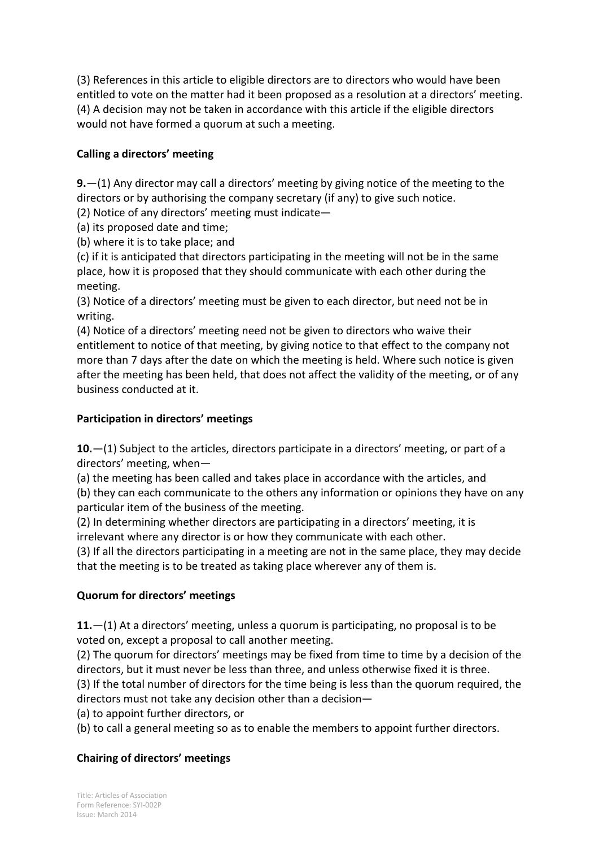(3) References in this article to eligible directors are to directors who would have been entitled to vote on the matter had it been proposed as a resolution at a directors' meeting. (4) A decision may not be taken in accordance with this article if the eligible directors would not have formed a quorum at such a meeting.

### **Calling a directors' meeting**

**9.**—(1) Any director may call a directors' meeting by giving notice of the meeting to the directors or by authorising the company secretary (if any) to give such notice.

(2) Notice of any directors' meeting must indicate—

(a) its proposed date and time;

(b) where it is to take place; and

(c) if it is anticipated that directors participating in the meeting will not be in the same place, how it is proposed that they should communicate with each other during the meeting.

(3) Notice of a directors' meeting must be given to each director, but need not be in writing.

(4) Notice of a directors' meeting need not be given to directors who waive their entitlement to notice of that meeting, by giving notice to that effect to the company not more than 7 days after the date on which the meeting is held. Where such notice is given after the meeting has been held, that does not affect the validity of the meeting, or of any business conducted at it.

### **Participation in directors' meetings**

**10.**—(1) Subject to the articles, directors participate in a directors' meeting, or part of a directors' meeting, when—

(a) the meeting has been called and takes place in accordance with the articles, and

(b) they can each communicate to the others any information or opinions they have on any particular item of the business of the meeting.

(2) In determining whether directors are participating in a directors' meeting, it is irrelevant where any director is or how they communicate with each other.

(3) If all the directors participating in a meeting are not in the same place, they may decide that the meeting is to be treated as taking place wherever any of them is.

# **Quorum for directors' meetings**

**11.**—(1) At a directors' meeting, unless a quorum is participating, no proposal is to be voted on, except a proposal to call another meeting.

(2) The quorum for directors' meetings may be fixed from time to time by a decision of the directors, but it must never be less than three, and unless otherwise fixed it is three.

(3) If the total number of directors for the time being is less than the quorum required, the directors must not take any decision other than a decision—

(a) to appoint further directors, or

(b) to call a general meeting so as to enable the members to appoint further directors.

# **Chairing of directors' meetings**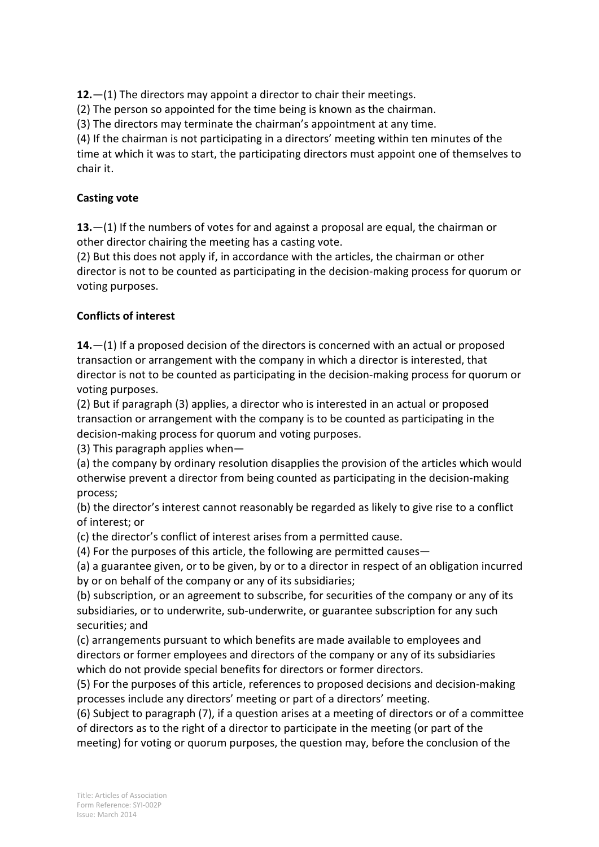**12.**—(1) The directors may appoint a director to chair their meetings.

(2) The person so appointed for the time being is known as the chairman.

(3) The directors may terminate the chairman's appointment at any time.

(4) If the chairman is not participating in a directors' meeting within ten minutes of the time at which it was to start, the participating directors must appoint one of themselves to chair it.

#### **Casting vote**

**13.**—(1) If the numbers of votes for and against a proposal are equal, the chairman or other director chairing the meeting has a casting vote.

(2) But this does not apply if, in accordance with the articles, the chairman or other director is not to be counted as participating in the decision-making process for quorum or voting purposes.

#### **Conflicts of interest**

**14.**—(1) If a proposed decision of the directors is concerned with an actual or proposed transaction or arrangement with the company in which a director is interested, that director is not to be counted as participating in the decision-making process for quorum or voting purposes.

(2) But if paragraph (3) applies, a director who is interested in an actual or proposed transaction or arrangement with the company is to be counted as participating in the decision-making process for quorum and voting purposes.

(3) This paragraph applies when—

(a) the company by ordinary resolution disapplies the provision of the articles which would otherwise prevent a director from being counted as participating in the decision-making process;

(b) the director's interest cannot reasonably be regarded as likely to give rise to a conflict of interest; or

(c) the director's conflict of interest arises from a permitted cause.

(4) For the purposes of this article, the following are permitted causes—

(a) a guarantee given, or to be given, by or to a director in respect of an obligation incurred by or on behalf of the company or any of its subsidiaries;

(b) subscription, or an agreement to subscribe, for securities of the company or any of its subsidiaries, or to underwrite, sub-underwrite, or guarantee subscription for any such securities; and

(c) arrangements pursuant to which benefits are made available to employees and directors or former employees and directors of the company or any of its subsidiaries which do not provide special benefits for directors or former directors.

(5) For the purposes of this article, references to proposed decisions and decision-making processes include any directors' meeting or part of a directors' meeting.

(6) Subject to paragraph (7), if a question arises at a meeting of directors or of a committee of directors as to the right of a director to participate in the meeting (or part of the meeting) for voting or quorum purposes, the question may, before the conclusion of the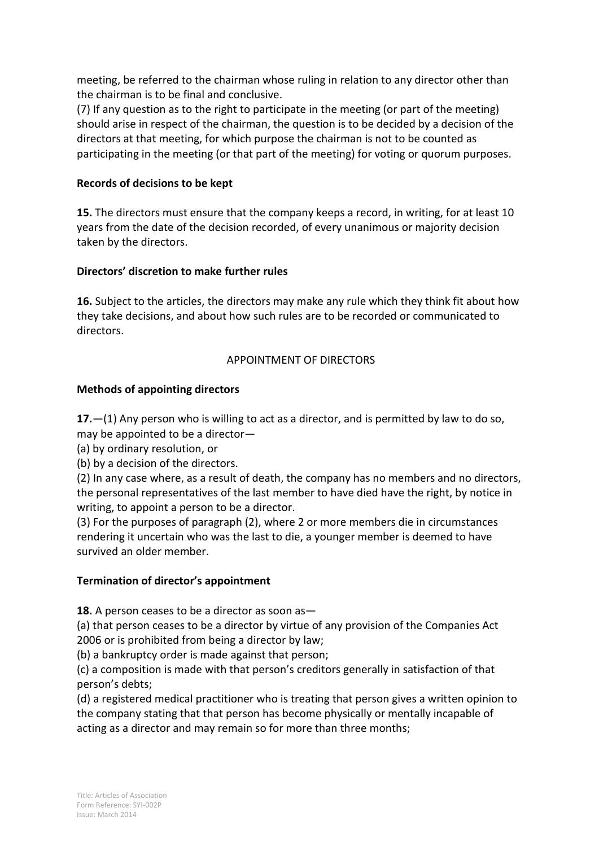meeting, be referred to the chairman whose ruling in relation to any director other than the chairman is to be final and conclusive.

(7) If any question as to the right to participate in the meeting (or part of the meeting) should arise in respect of the chairman, the question is to be decided by a decision of the directors at that meeting, for which purpose the chairman is not to be counted as participating in the meeting (or that part of the meeting) for voting or quorum purposes.

#### **Records of decisions to be kept**

**15.** The directors must ensure that the company keeps a record, in writing, for at least 10 years from the date of the decision recorded, of every unanimous or majority decision taken by the directors.

#### **Directors' discretion to make further rules**

**16.** Subject to the articles, the directors may make any rule which they think fit about how they take decisions, and about how such rules are to be recorded or communicated to directors.

#### APPOINTMENT OF DIRECTORS

#### **Methods of appointing directors**

**17.**—(1) Any person who is willing to act as a director, and is permitted by law to do so, may be appointed to be a director—

(a) by ordinary resolution, or

(b) by a decision of the directors.

(2) In any case where, as a result of death, the company has no members and no directors, the personal representatives of the last member to have died have the right, by notice in writing, to appoint a person to be a director.

(3) For the purposes of paragraph (2), where 2 or more members die in circumstances rendering it uncertain who was the last to die, a younger member is deemed to have survived an older member.

#### **Termination of director's appointment**

**18.** A person ceases to be a director as soon as—

(a) that person ceases to be a director by virtue of any provision of the Companies Act 2006 or is prohibited from being a director by law;

(b) a bankruptcy order is made against that person;

(c) a composition is made with that person's creditors generally in satisfaction of that person's debts;

(d) a registered medical practitioner who is treating that person gives a written opinion to the company stating that that person has become physically or mentally incapable of acting as a director and may remain so for more than three months;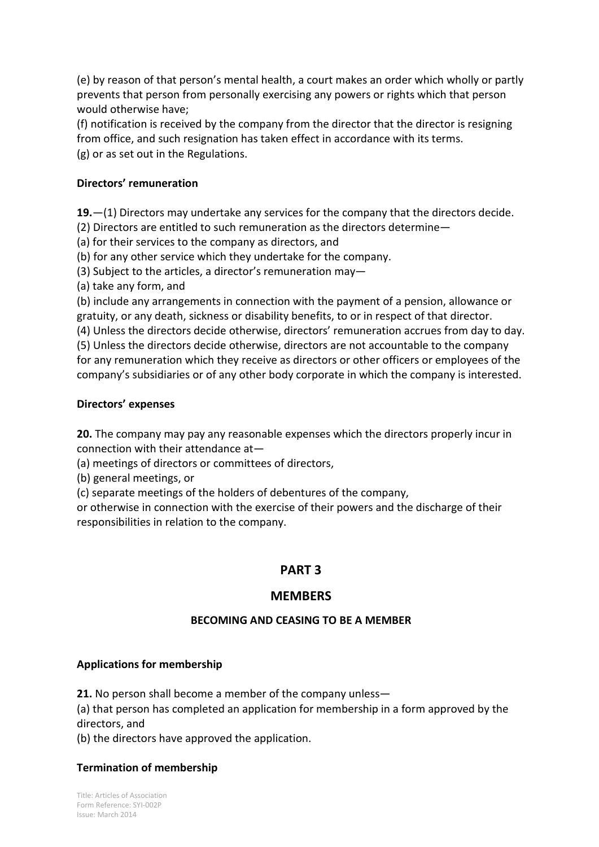(e) by reason of that person's mental health, a court makes an order which wholly or partly prevents that person from personally exercising any powers or rights which that person would otherwise have;

(f) notification is received by the company from the director that the director is resigning from office, and such resignation has taken effect in accordance with its terms. (g) or as set out in the Regulations.

#### **Directors' remuneration**

**19.**—(1) Directors may undertake any services for the company that the directors decide.

(2) Directors are entitled to such remuneration as the directors determine—

(a) for their services to the company as directors, and

(b) for any other service which they undertake for the company.

(3) Subject to the articles, a director's remuneration may—

(a) take any form, and

(b) include any arrangements in connection with the payment of a pension, allowance or gratuity, or any death, sickness or disability benefits, to or in respect of that director.

(4) Unless the directors decide otherwise, directors' remuneration accrues from day to day.

(5) Unless the directors decide otherwise, directors are not accountable to the company for any remuneration which they receive as directors or other officers or employees of the

company's subsidiaries or of any other body corporate in which the company is interested.

#### **Directors' expenses**

**20.** The company may pay any reasonable expenses which the directors properly incur in connection with their attendance at—

(a) meetings of directors or committees of directors,

(b) general meetings, or

(c) separate meetings of the holders of debentures of the company,

or otherwise in connection with the exercise of their powers and the discharge of their responsibilities in relation to the company.

# **PART 3**

### **MEMBERS**

### **BECOMING AND CEASING TO BE A MEMBER**

### **Applications for membership**

**21.** No person shall become a member of the company unless—

(a) that person has completed an application for membership in a form approved by the directors, and

(b) the directors have approved the application.

### **Termination of membership**

Title: Articles of Association Form Reference: SYI-002P Issue: March 2014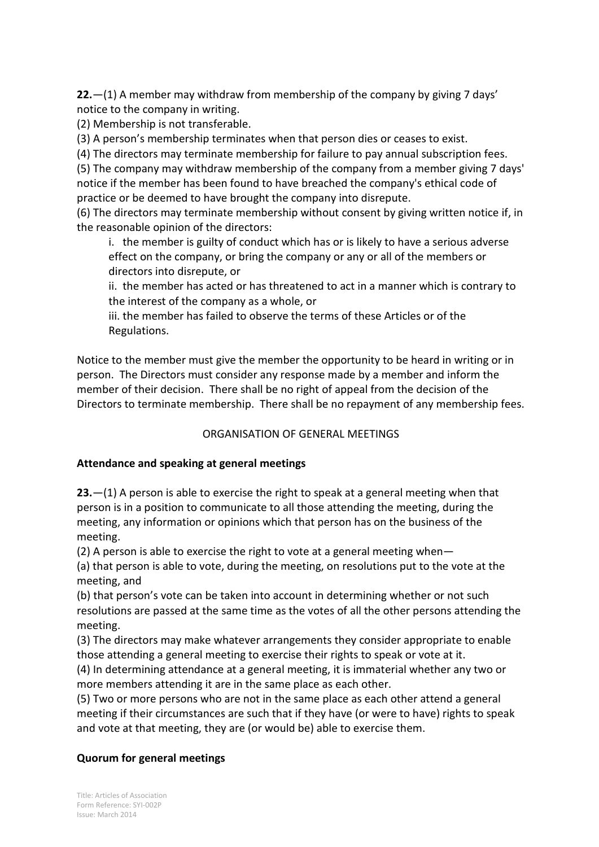**22.**—(1) A member may withdraw from membership of the company by giving 7 days' notice to the company in writing.

(2) Membership is not transferable.

(3) A person's membership terminates when that person dies or ceases to exist.

(4) The directors may terminate membership for failure to pay annual subscription fees.

(5) The company may withdraw membership of the company from a member giving 7 days' notice if the member has been found to have breached the company's ethical code of practice or be deemed to have brought the company into disrepute.

(6) The directors may terminate membership without consent by giving written notice if, in the reasonable opinion of the directors:

i. the member is guilty of conduct which has or is likely to have a serious adverse effect on the company, or bring the company or any or all of the members or directors into disrepute, or

ii. the member has acted or has threatened to act in a manner which is contrary to the interest of the company as a whole, or

iii. the member has failed to observe the terms of these Articles or of the Regulations.

Notice to the member must give the member the opportunity to be heard in writing or in person. The Directors must consider any response made by a member and inform the member of their decision. There shall be no right of appeal from the decision of the Directors to terminate membership. There shall be no repayment of any membership fees.

### ORGANISATION OF GENERAL MEETINGS

### **Attendance and speaking at general meetings**

**23.**—(1) A person is able to exercise the right to speak at a general meeting when that person is in a position to communicate to all those attending the meeting, during the meeting, any information or opinions which that person has on the business of the meeting.

(2) A person is able to exercise the right to vote at a general meeting when—

(a) that person is able to vote, during the meeting, on resolutions put to the vote at the meeting, and

(b) that person's vote can be taken into account in determining whether or not such resolutions are passed at the same time as the votes of all the other persons attending the meeting.

(3) The directors may make whatever arrangements they consider appropriate to enable those attending a general meeting to exercise their rights to speak or vote at it.

(4) In determining attendance at a general meeting, it is immaterial whether any two or more members attending it are in the same place as each other.

(5) Two or more persons who are not in the same place as each other attend a general meeting if their circumstances are such that if they have (or were to have) rights to speak and vote at that meeting, they are (or would be) able to exercise them.

# **Quorum for general meetings**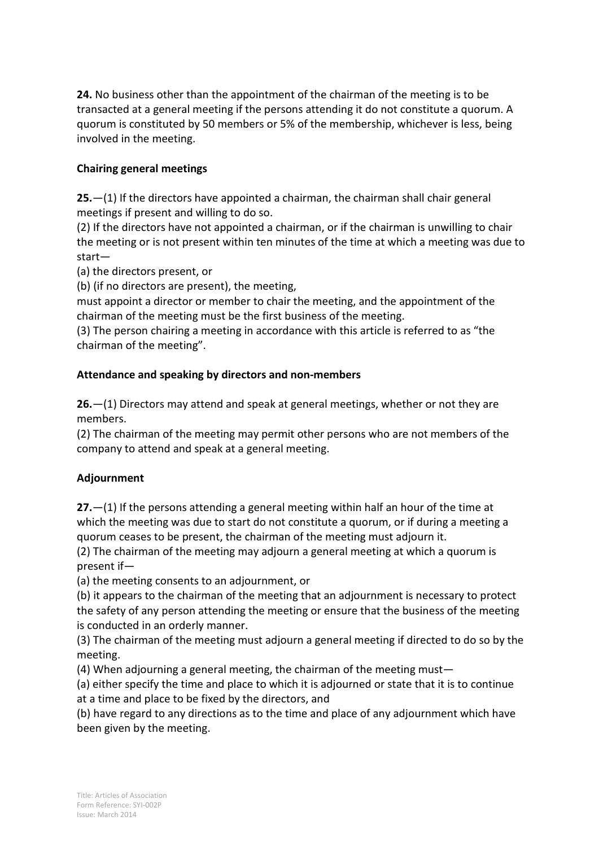**24.** No business other than the appointment of the chairman of the meeting is to be transacted at a general meeting if the persons attending it do not constitute a quorum. A quorum is constituted by 50 members or 5% of the membership, whichever is less, being involved in the meeting.

### **Chairing general meetings**

**25.**—(1) If the directors have appointed a chairman, the chairman shall chair general meetings if present and willing to do so.

(2) If the directors have not appointed a chairman, or if the chairman is unwilling to chair the meeting or is not present within ten minutes of the time at which a meeting was due to start—

(a) the directors present, or

(b) (if no directors are present), the meeting,

must appoint a director or member to chair the meeting, and the appointment of the chairman of the meeting must be the first business of the meeting.

(3) The person chairing a meeting in accordance with this article is referred to as "the chairman of the meeting".

### **Attendance and speaking by directors and non-members**

**26.**—(1) Directors may attend and speak at general meetings, whether or not they are members.

(2) The chairman of the meeting may permit other persons who are not members of the company to attend and speak at a general meeting.

### **Adjournment**

**27.**—(1) If the persons attending a general meeting within half an hour of the time at which the meeting was due to start do not constitute a quorum, or if during a meeting a quorum ceases to be present, the chairman of the meeting must adjourn it.

(2) The chairman of the meeting may adjourn a general meeting at which a quorum is present if—

(a) the meeting consents to an adjournment, or

(b) it appears to the chairman of the meeting that an adjournment is necessary to protect the safety of any person attending the meeting or ensure that the business of the meeting is conducted in an orderly manner.

(3) The chairman of the meeting must adjourn a general meeting if directed to do so by the meeting.

(4) When adjourning a general meeting, the chairman of the meeting must—

(a) either specify the time and place to which it is adjourned or state that it is to continue at a time and place to be fixed by the directors, and

(b) have regard to any directions as to the time and place of any adjournment which have been given by the meeting.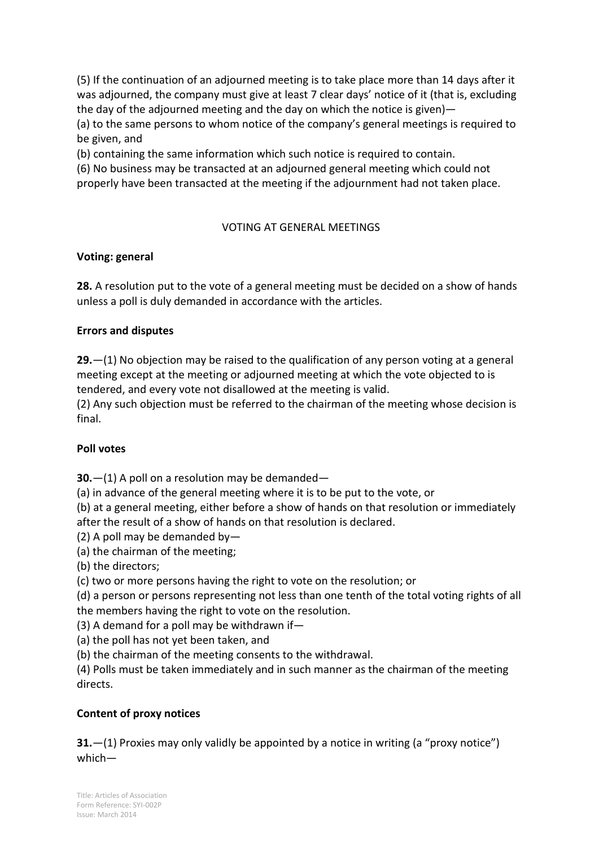(5) If the continuation of an adjourned meeting is to take place more than 14 days after it was adjourned, the company must give at least 7 clear days' notice of it (that is, excluding the day of the adjourned meeting and the day on which the notice is given)—

(a) to the same persons to whom notice of the company's general meetings is required to be given, and

(b) containing the same information which such notice is required to contain.

(6) No business may be transacted at an adjourned general meeting which could not

properly have been transacted at the meeting if the adjournment had not taken place.

### VOTING AT GENERAL MEETINGS

### **Voting: general**

**28.** A resolution put to the vote of a general meeting must be decided on a show of hands unless a poll is duly demanded in accordance with the articles.

### **Errors and disputes**

**29.**—(1) No objection may be raised to the qualification of any person voting at a general meeting except at the meeting or adjourned meeting at which the vote objected to is tendered, and every vote not disallowed at the meeting is valid.

(2) Any such objection must be referred to the chairman of the meeting whose decision is final.

### **Poll votes**

**30.**—(1) A poll on a resolution may be demanded—

(a) in advance of the general meeting where it is to be put to the vote, or

(b) at a general meeting, either before a show of hands on that resolution or immediately after the result of a show of hands on that resolution is declared.

(2) A poll may be demanded by—

(a) the chairman of the meeting;

(b) the directors;

(c) two or more persons having the right to vote on the resolution; or

(d) a person or persons representing not less than one tenth of the total voting rights of all the members having the right to vote on the resolution.

 $(3)$  A demand for a poll may be withdrawn if -

(a) the poll has not yet been taken, and

(b) the chairman of the meeting consents to the withdrawal.

(4) Polls must be taken immediately and in such manner as the chairman of the meeting directs.

# **Content of proxy notices**

**31.**—(1) Proxies may only validly be appointed by a notice in writing (a "proxy notice") which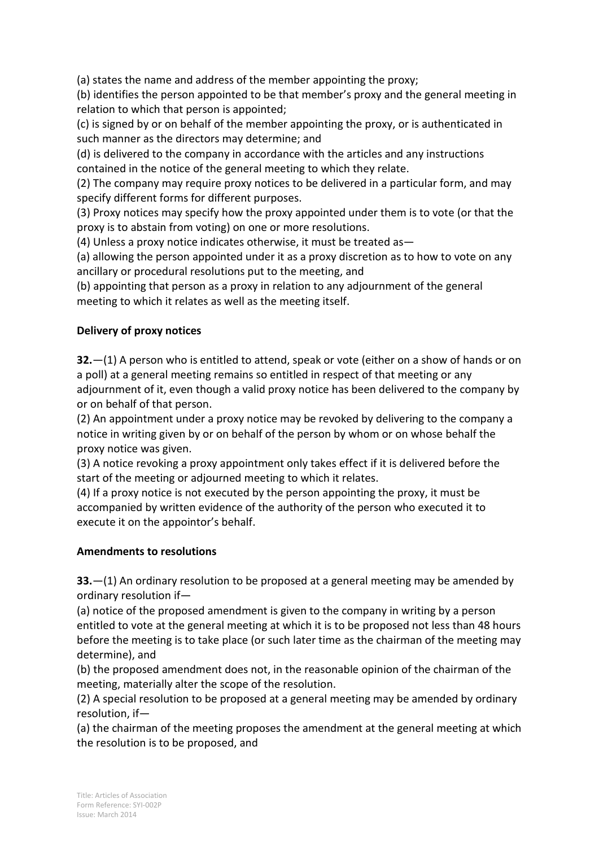(a) states the name and address of the member appointing the proxy;

(b) identifies the person appointed to be that member's proxy and the general meeting in relation to which that person is appointed;

(c) is signed by or on behalf of the member appointing the proxy, or is authenticated in such manner as the directors may determine; and

(d) is delivered to the company in accordance with the articles and any instructions contained in the notice of the general meeting to which they relate.

(2) The company may require proxy notices to be delivered in a particular form, and may specify different forms for different purposes.

(3) Proxy notices may specify how the proxy appointed under them is to vote (or that the proxy is to abstain from voting) on one or more resolutions.

(4) Unless a proxy notice indicates otherwise, it must be treated as—

(a) allowing the person appointed under it as a proxy discretion as to how to vote on any ancillary or procedural resolutions put to the meeting, and

(b) appointing that person as a proxy in relation to any adjournment of the general meeting to which it relates as well as the meeting itself.

### **Delivery of proxy notices**

**32.**—(1) A person who is entitled to attend, speak or vote (either on a show of hands or on a poll) at a general meeting remains so entitled in respect of that meeting or any adjournment of it, even though a valid proxy notice has been delivered to the company by or on behalf of that person.

(2) An appointment under a proxy notice may be revoked by delivering to the company a notice in writing given by or on behalf of the person by whom or on whose behalf the proxy notice was given.

(3) A notice revoking a proxy appointment only takes effect if it is delivered before the start of the meeting or adjourned meeting to which it relates.

(4) If a proxy notice is not executed by the person appointing the proxy, it must be accompanied by written evidence of the authority of the person who executed it to execute it on the appointor's behalf.

### **Amendments to resolutions**

**33.**—(1) An ordinary resolution to be proposed at a general meeting may be amended by ordinary resolution if—

(a) notice of the proposed amendment is given to the company in writing by a person entitled to vote at the general meeting at which it is to be proposed not less than 48 hours before the meeting is to take place (or such later time as the chairman of the meeting may determine), and

(b) the proposed amendment does not, in the reasonable opinion of the chairman of the meeting, materially alter the scope of the resolution.

(2) A special resolution to be proposed at a general meeting may be amended by ordinary resolution, if—

(a) the chairman of the meeting proposes the amendment at the general meeting at which the resolution is to be proposed, and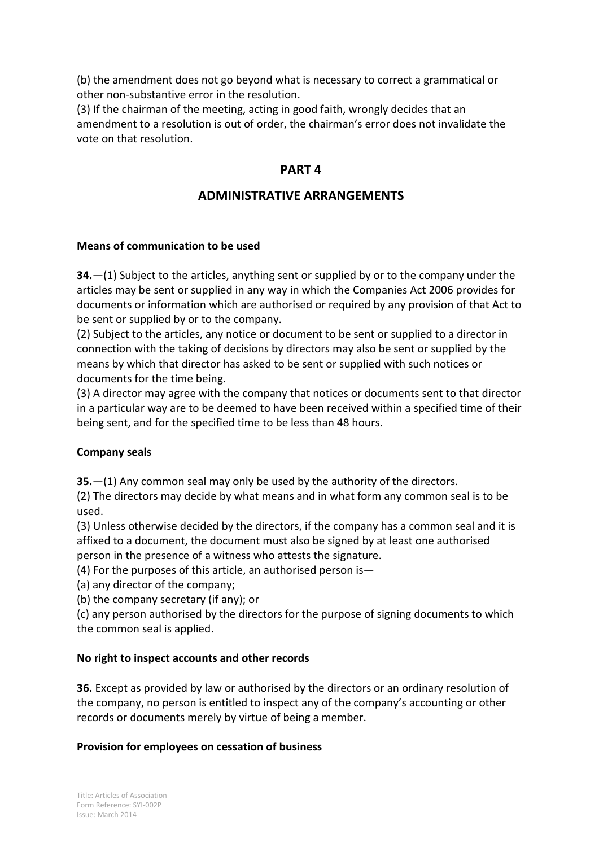(b) the amendment does not go beyond what is necessary to correct a grammatical or other non-substantive error in the resolution.

(3) If the chairman of the meeting, acting in good faith, wrongly decides that an amendment to a resolution is out of order, the chairman's error does not invalidate the vote on that resolution.

# **PART 4**

# **ADMINISTRATIVE ARRANGEMENTS**

### **Means of communication to be used**

**34.**—(1) Subject to the articles, anything sent or supplied by or to the company under the articles may be sent or supplied in any way in which the Companies Act 2006 provides for documents or information which are authorised or required by any provision of that Act to be sent or supplied by or to the company.

(2) Subject to the articles, any notice or document to be sent or supplied to a director in connection with the taking of decisions by directors may also be sent or supplied by the means by which that director has asked to be sent or supplied with such notices or documents for the time being.

(3) A director may agree with the company that notices or documents sent to that director in a particular way are to be deemed to have been received within a specified time of their being sent, and for the specified time to be less than 48 hours.

### **Company seals**

**35.**—(1) Any common seal may only be used by the authority of the directors.

(2) The directors may decide by what means and in what form any common seal is to be used.

(3) Unless otherwise decided by the directors, if the company has a common seal and it is affixed to a document, the document must also be signed by at least one authorised person in the presence of a witness who attests the signature.

(4) For the purposes of this article, an authorised person is  $-$ 

(a) any director of the company;

(b) the company secretary (if any); or

(c) any person authorised by the directors for the purpose of signing documents to which the common seal is applied.

### **No right to inspect accounts and other records**

**36.** Except as provided by law or authorised by the directors or an ordinary resolution of the company, no person is entitled to inspect any of the company's accounting or other records or documents merely by virtue of being a member.

#### **Provision for employees on cessation of business**